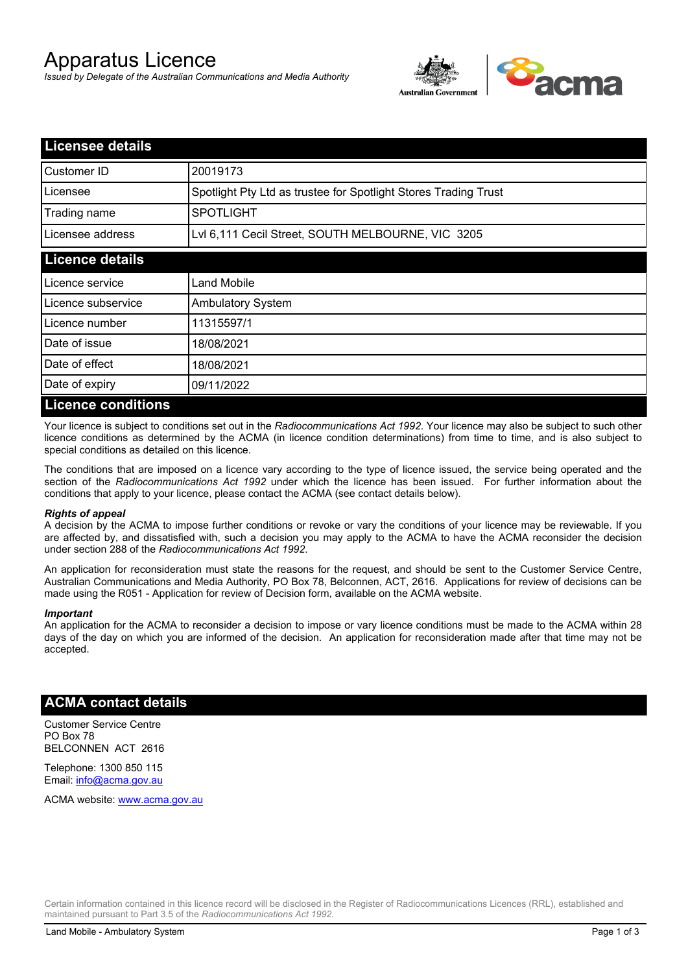# Apparatus Licence

*Issued by Delegate of the Australian Communications and Media Authority*



| <b>Licensee details</b>   |                                                                 |  |
|---------------------------|-----------------------------------------------------------------|--|
| Customer ID               | 20019173                                                        |  |
| Licensee                  | Spotlight Pty Ltd as trustee for Spotlight Stores Trading Trust |  |
| Trading name              | <b>SPOTLIGHT</b>                                                |  |
| Licensee address          | Lvl 6,111 Cecil Street, SOUTH MELBOURNE, VIC 3205               |  |
| <b>Licence details</b>    |                                                                 |  |
| Licence service           | Land Mobile                                                     |  |
| Licence subservice        | <b>Ambulatory System</b>                                        |  |
| Licence number            | 11315597/1                                                      |  |
| Date of issue             | 18/08/2021                                                      |  |
| Date of effect            | 18/08/2021                                                      |  |
| Date of expiry            | 09/11/2022                                                      |  |
| <b>Licence conditions</b> |                                                                 |  |

Your licence is subject to conditions set out in the *Radiocommunications Act 1992*. Your licence may also be subject to such other licence conditions as determined by the ACMA (in licence condition determinations) from time to time, and is also subject to special conditions as detailed on this licence.

The conditions that are imposed on a licence vary according to the type of licence issued, the service being operated and the section of the *Radiocommunications Act 1992* under which the licence has been issued. For further information about the conditions that apply to your licence, please contact the ACMA (see contact details below).

### *Rights of appeal*

A decision by the ACMA to impose further conditions or revoke or vary the conditions of your licence may be reviewable. If you are affected by, and dissatisfied with, such a decision you may apply to the ACMA to have the ACMA reconsider the decision under section 288 of the *Radiocommunications Act 1992*.

An application for reconsideration must state the reasons for the request, and should be sent to the Customer Service Centre, Australian Communications and Media Authority, PO Box 78, Belconnen, ACT, 2616. Applications for review of decisions can be made using the R051 - Application for review of Decision form, available on the ACMA website.

### *Important*

An application for the ACMA to reconsider a decision to impose or vary licence conditions must be made to the ACMA within 28 days of the day on which you are informed of the decision. An application for reconsideration made after that time may not be accepted.

### **ACMA contact details**

Customer Service Centre PO Box 78 BELCONNEN ACT 2616

Telephone: 1300 850 115 Email: info@acma.gov.au

ACMA website: www.acma.gov.au

Certain information contained in this licence record will be disclosed in the Register of Radiocommunications Licences (RRL), established and maintained pursuant to Part 3.5 of the *Radiocommunications Act 1992.*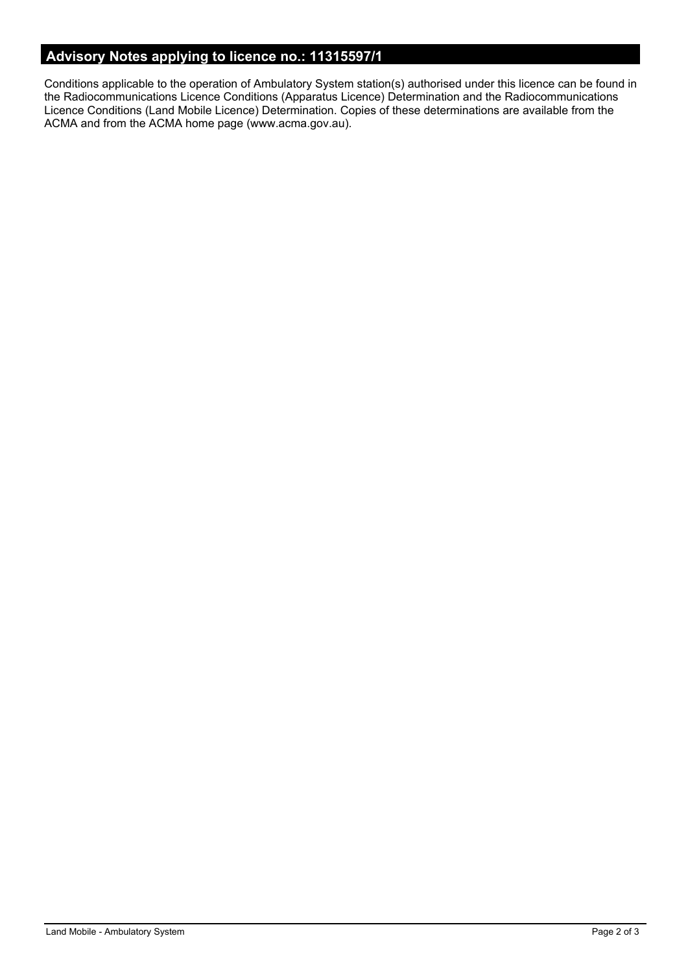# **Advisory Notes applying to licence no.: 11315597/1**

Conditions applicable to the operation of Ambulatory System station(s) authorised under this licence can be found in the Radiocommunications Licence Conditions (Apparatus Licence) Determination and the Radiocommunications Licence Conditions (Land Mobile Licence) Determination. Copies of these determinations are available from the ACMA and from the ACMA home page (www.acma.gov.au).